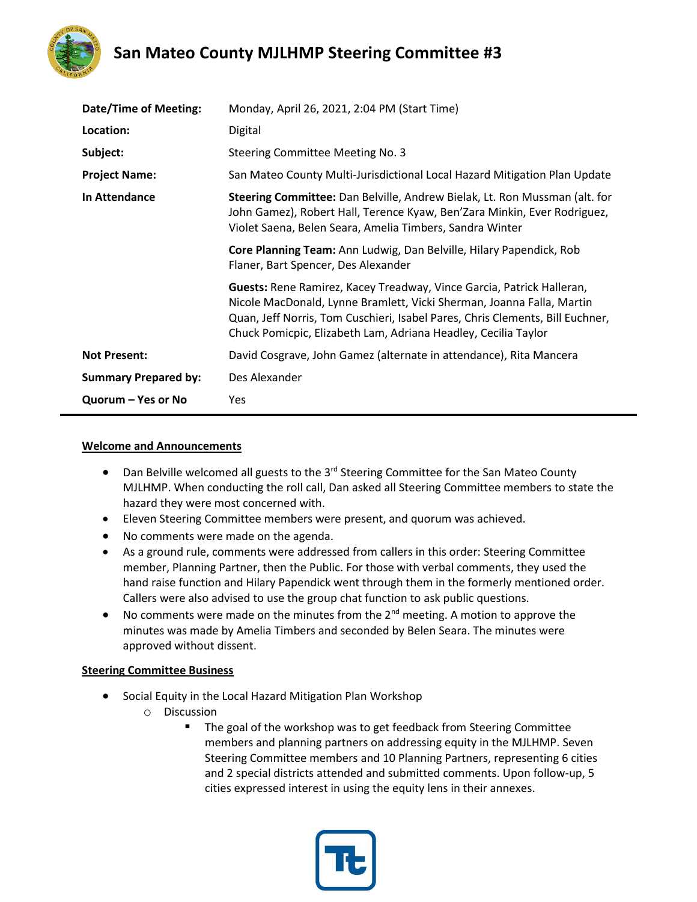

| Date/Time of Meeting:       | Monday, April 26, 2021, 2:04 PM (Start Time)                                                                                                                                                                                                                                                      |
|-----------------------------|---------------------------------------------------------------------------------------------------------------------------------------------------------------------------------------------------------------------------------------------------------------------------------------------------|
| Location:                   | Digital                                                                                                                                                                                                                                                                                           |
| Subject:                    | Steering Committee Meeting No. 3                                                                                                                                                                                                                                                                  |
| <b>Project Name:</b>        | San Mateo County Multi-Jurisdictional Local Hazard Mitigation Plan Update                                                                                                                                                                                                                         |
| In Attendance               | Steering Committee: Dan Belville, Andrew Bielak, Lt. Ron Mussman (alt. for<br>John Gamez), Robert Hall, Terence Kyaw, Ben'Zara Minkin, Ever Rodriguez,<br>Violet Saena, Belen Seara, Amelia Timbers, Sandra Winter                                                                                |
|                             | Core Planning Team: Ann Ludwig, Dan Belville, Hilary Papendick, Rob<br>Flaner, Bart Spencer, Des Alexander                                                                                                                                                                                        |
|                             | Guests: Rene Ramirez, Kacey Treadway, Vince Garcia, Patrick Halleran,<br>Nicole MacDonald, Lynne Bramlett, Vicki Sherman, Joanna Falla, Martin<br>Quan, Jeff Norris, Tom Cuschieri, Isabel Pares, Chris Clements, Bill Euchner,<br>Chuck Pomicpic, Elizabeth Lam, Adriana Headley, Cecilia Taylor |
| <b>Not Present:</b>         | David Cosgrave, John Gamez (alternate in attendance), Rita Mancera                                                                                                                                                                                                                                |
| <b>Summary Prepared by:</b> | Des Alexander                                                                                                                                                                                                                                                                                     |
| Quorum – Yes or No          | Yes                                                                                                                                                                                                                                                                                               |

#### **Welcome and Announcements**

- Dan Belville welcomed all guests to the 3<sup>rd</sup> Steering Committee for the San Mateo County MJLHMP. When conducting the roll call, Dan asked all Steering Committee members to state the hazard they were most concerned with.
- Eleven Steering Committee members were present, and quorum was achieved.
- No comments were made on the agenda.
- As a ground rule, comments were addressed from callers in this order: Steering Committee member, Planning Partner, then the Public. For those with verbal comments, they used the hand raise function and Hilary Papendick went through them in the formerly mentioned order. Callers were also advised to use the group chat function to ask public questions.
- No comments were made on the minutes from the  $2^{nd}$  meeting. A motion to approve the minutes was made by Amelia Timbers and seconded by Belen Seara. The minutes were approved without dissent.

#### **Steering Committee Business**

- Social Equity in the Local Hazard Mitigation Plan Workshop
	- o Discussion
		- The goal of the workshop was to get feedback from Steering Committee members and planning partners on addressing equity in the MJLHMP. Seven Steering Committee members and 10 Planning Partners, representing 6 cities and 2 special districts attended and submitted comments. Upon follow-up, 5 cities expressed interest in using the equity lens in their annexes.

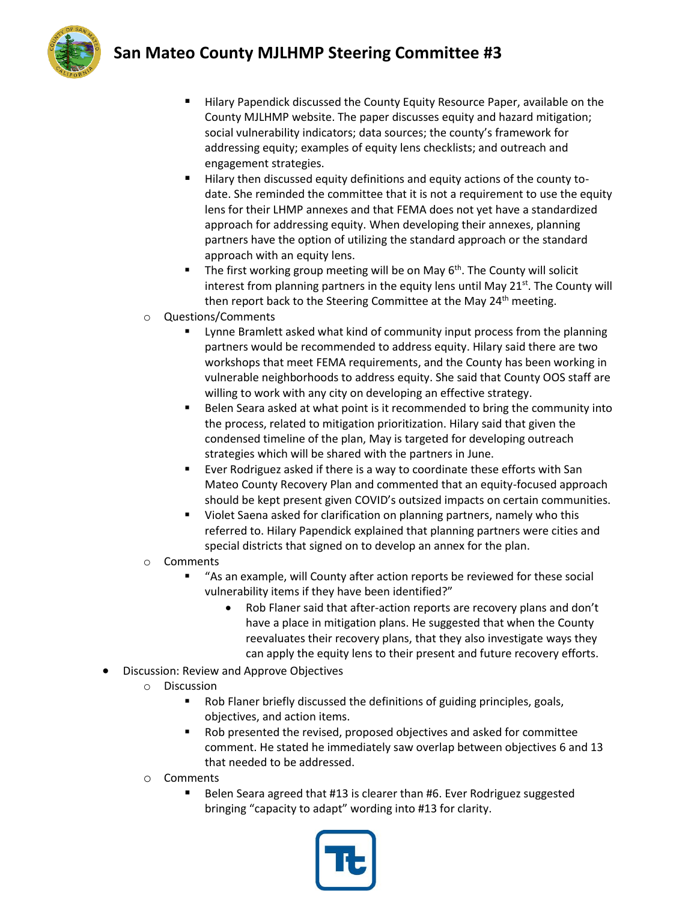

- Hilary Papendick discussed the County Equity Resource Paper, available on the County MJLHMP website. The paper discusses equity and hazard mitigation; social vulnerability indicators; data sources; the county's framework for addressing equity; examples of equity lens checklists; and outreach and engagement strategies.
- Hilary then discussed equity definitions and equity actions of the county todate. She reminded the committee that it is not a requirement to use the equity lens for their LHMP annexes and that FEMA does not yet have a standardized approach for addressing equity. When developing their annexes, planning partners have the option of utilizing the standard approach or the standard approach with an equity lens.
- The first working group meeting will be on May  $6<sup>th</sup>$ . The County will solicit interest from planning partners in the equity lens until May 21st. The County will then report back to the Steering Committee at the May 24<sup>th</sup> meeting.
- o Questions/Comments
	- Lynne Bramlett asked what kind of community input process from the planning partners would be recommended to address equity. Hilary said there are two workshops that meet FEMA requirements, and the County has been working in vulnerable neighborhoods to address equity. She said that County OOS staff are willing to work with any city on developing an effective strategy.
	- Belen Seara asked at what point is it recommended to bring the community into the process, related to mitigation prioritization. Hilary said that given the condensed timeline of the plan, May is targeted for developing outreach strategies which will be shared with the partners in June.
	- Ever Rodriguez asked if there is a way to coordinate these efforts with San Mateo County Recovery Plan and commented that an equity-focused approach should be kept present given COVID's outsized impacts on certain communities.
	- Violet Saena asked for clarification on planning partners, namely who this referred to. Hilary Papendick explained that planning partners were cities and special districts that signed on to develop an annex for the plan.
- o Comments
	- "As an example, will County after action reports be reviewed for these social vulnerability items if they have been identified?"
		- Rob Flaner said that after-action reports are recovery plans and don't have a place in mitigation plans. He suggested that when the County reevaluates their recovery plans, that they also investigate ways they can apply the equity lens to their present and future recovery efforts.
- Discussion: Review and Approve Objectives
	- o Discussion
		- Rob Flaner briefly discussed the definitions of guiding principles, goals, objectives, and action items.
		- Rob presented the revised, proposed objectives and asked for committee comment. He stated he immediately saw overlap between objectives 6 and 13 that needed to be addressed.
	- o Comments
		- Belen Seara agreed that #13 is clearer than #6. Ever Rodriguez suggested bringing "capacity to adapt" wording into #13 for clarity.

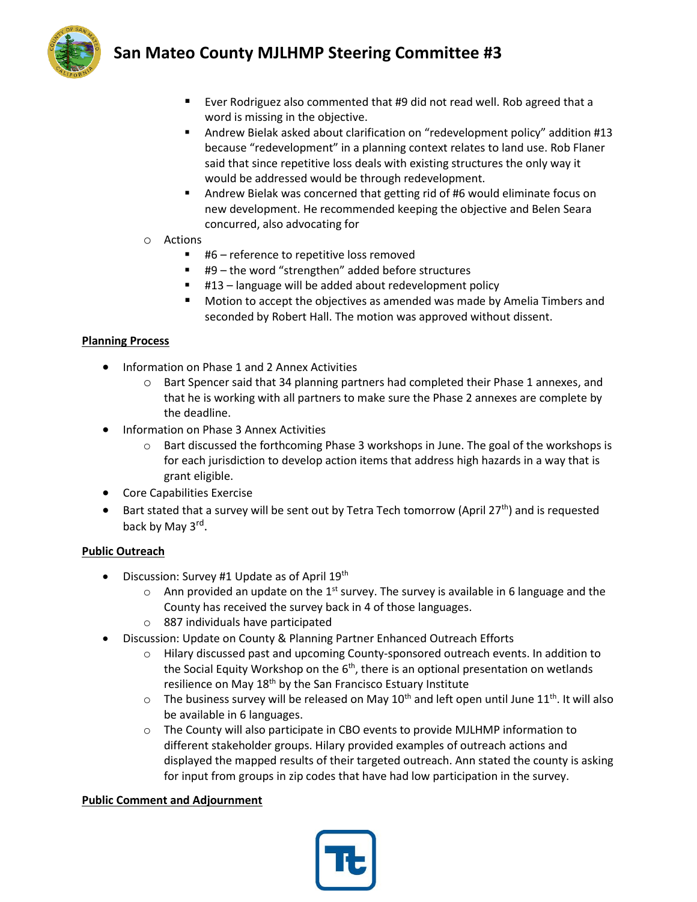

- Ever Rodriguez also commented that #9 did not read well. Rob agreed that a word is missing in the objective.
- Andrew Bielak asked about clarification on "redevelopment policy" addition #13 because "redevelopment" in a planning context relates to land use. Rob Flaner said that since repetitive loss deals with existing structures the only way it would be addressed would be through redevelopment.
- Andrew Bielak was concerned that getting rid of #6 would eliminate focus on new development. He recommended keeping the objective and Belen Seara concurred, also advocating for
- o Actions
	- #6 reference to repetitive loss removed
	- #9 the word "strengthen" added before structures
	- #13 language will be added about redevelopment policy
	- Motion to accept the objectives as amended was made by Amelia Timbers and seconded by Robert Hall. The motion was approved without dissent.

### **Planning Process**

- Information on Phase 1 and 2 Annex Activities
	- o Bart Spencer said that 34 planning partners had completed their Phase 1 annexes, and that he is working with all partners to make sure the Phase 2 annexes are complete by the deadline.
- Information on Phase 3 Annex Activities
	- o Bart discussed the forthcoming Phase 3 workshops in June. The goal of the workshops is for each jurisdiction to develop action items that address high hazards in a way that is grant eligible.
- Core Capabilities Exercise
- Bart stated that a survey will be sent out by Tetra Tech tomorrow (April 27<sup>th</sup>) and is requested back by May 3<sup>rd</sup>.

### **Public Outreach**

- Discussion: Survey #1 Update as of April 19th
	- $\circ$  Ann provided an update on the 1<sup>st</sup> survey. The survey is available in 6 language and the County has received the survey back in 4 of those languages.
	- o 887 individuals have participated
- Discussion: Update on County & Planning Partner Enhanced Outreach Efforts
	- o Hilary discussed past and upcoming County-sponsored outreach events. In addition to the Social Equity Workshop on the  $6<sup>th</sup>$ , there is an optional presentation on wetlands resilience on May 18<sup>th</sup> by the San Francisco Estuary Institute
	- $\circ$  The business survey will be released on May 10<sup>th</sup> and left open until June 11<sup>th</sup>. It will also be available in 6 languages.
	- o The County will also participate in CBO events to provide MJLHMP information to different stakeholder groups. Hilary provided examples of outreach actions and displayed the mapped results of their targeted outreach. Ann stated the county is asking for input from groups in zip codes that have had low participation in the survey.

### **Public Comment and Adjournment**